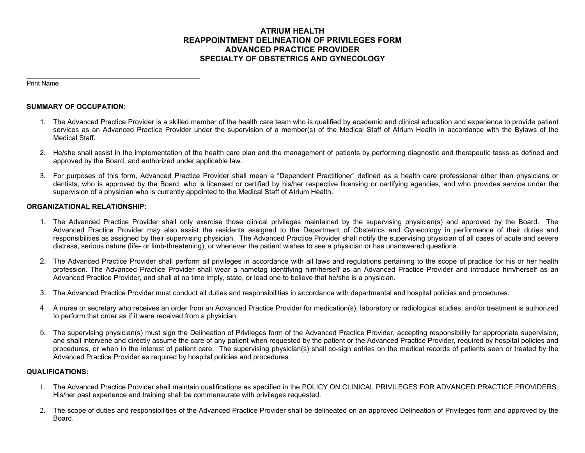# **ATRIUM HEALTH REAPPOINTMENT DELINEATION OF PRIVILEGES FORM ADVANCED PRACTICE PROVIDER SPECIALTY OF OBSTETRICS AND GYNECOLOGY**

Print Name

# **SUMMARY OF OCCUPATION:**

- 1. The Advanced Practice Provider is a skilled member of the health care team who is qualified by academic and clinical education and experience to provide patient services as an Advanced Practice Provider under the supervision of a member(s) of the Medical Staff of Atrium Health in accordance with the Bylaws of the Medical Staff.
- 2. He/she shall assist in the implementation of the health care plan and the management of patients by performing diagnostic and therapeutic tasks as defined and approved by the Board, and authorized under applicable law.
- 3. For purposes of this form, Advanced Practice Provider shall mean a "Dependent Practitioner" defined as a health care professional other than physicians or dentists, who is approved by the Board, who is licensed or certified by his/her respective licensing or certifying agencies, and who provides service under the supervision of a physician who is currently appointed to the Medical Staff of Atrium Health.

## **ORGANIZATIONAL RELATIONSHIP:**

- 1. The Advanced Practice Provider shall only exercise those clinical privileges maintained by the supervising physician(s) and approved by the Board. The Advanced Practice Provider may also assist the residents assigned to the Department of Obstetrics and Gynecology in performance of their duties and responsibilities as assigned by their supervising physician. The Advanced Practice Provider shall notify the supervising physician of all cases of acute and severe distress, serious nature (life- or limb-threatening), or whenever the patient wishes to see a physician or has unanswered questions.
- 2. The Advanced Practice Provider shall perform all privileges in accordance with all laws and regulations pertaining to the scope of practice for his or her health profession. The Advanced Practice Provider shall wear a nametag identifying him/herself as an Advanced Practice Provider and introduce him/herself as an Advanced Practice Provider, and shall at no time imply, state, or lead one to believe that he/she is a physician.
- 3. The Advanced Practice Provider must conduct all duties and responsibilities in accordance with departmental and hospital policies and procedures.
- 4. A nurse or secretary who receives an order from an Advanced Practice Provider for medication(s), laboratory or radiological studies, and/or treatment is authorized to perform that order as if it were received from a physician.
- 5. The supervising physician(s) must sign the Delineation of Privileges form of the Advanced Practice Provider, accepting responsibility for appropriate supervision, and shall intervene and directly assume the care of any patient when requested by the patient or the Advanced Practice Provider, required by hospital policies and procedures, or when in the interest of patient care. The supervising physician(s) shall co-sign entries on the medical records of patients seen or treated by the Advanced Practice Provider as required by hospital policies and procedures.

## **QUALIFICATIONS:**

- 1. The Advanced Practice Provider shall maintain qualifications as specified in the POLICY ON CLINICAL PRIVILEGES FOR ADVANCED PRACTICE PROVIDERS. His/her past experience and training shall be commensurate with privileges requested.
- 2. The scope of duties and responsibilities of the Advanced Practice Provider shall be delineated on an approved Delineation of Privileges form and approved by the Board.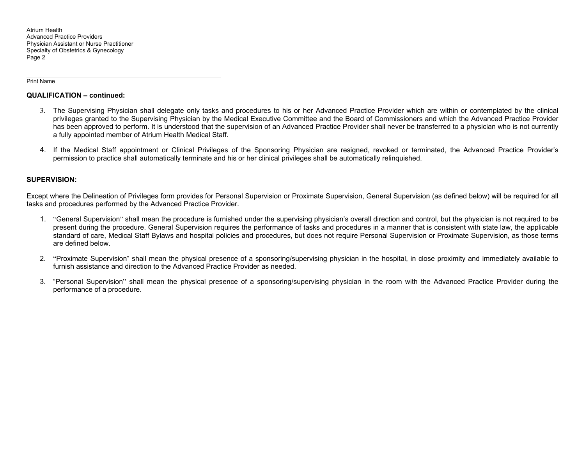Atrium Health Advanced Practice Providers Physician Assistant or Nurse Practitioner Specialty of Obstetrics & Gynecology Page 2

Print Name

# **QUALIFICATION – continued:**

- 3. The Supervising Physician shall delegate only tasks and procedures to his or her Advanced Practice Provider which are within or contemplated by the clinical privileges granted to the Supervising Physician by the Medical Executive Committee and the Board of Commissioners and which the Advanced Practice Provider has been approved to perform. It is understood that the supervision of an Advanced Practice Provider shall never be transferred to a physician who is not currently a fully appointed member of Atrium Health Medical Staff.
- 4. If the Medical Staff appointment or Clinical Privileges of the Sponsoring Physician are resigned, revoked or terminated, the Advanced Practice Provider's permission to practice shall automatically terminate and his or her clinical privileges shall be automatically relinquished.

## **SUPERVISION:**

Except where the Delineation of Privileges form provides for Personal Supervision or Proximate Supervision, General Supervision (as defined below) will be required for all tasks and procedures performed by the Advanced Practice Provider.

- 1. "General Supervision" shall mean the procedure is furnished under the supervising physician's overall direction and control, but the physician is not required to be present during the procedure. General Supervision requires the performance of tasks and procedures in a manner that is consistent with state law, the applicable standard of care, Medical Staff Bylaws and hospital policies and procedures, but does not require Personal Supervision or Proximate Supervision, as those terms are defined below.
- 2. "Proximate Supervision" shall mean the physical presence of a sponsoring/supervising physician in the hospital, in close proximity and immediately available to furnish assistance and direction to the Advanced Practice Provider as needed.
- 3. "Personal Supervision" shall mean the physical presence of a sponsoring/supervising physician in the room with the Advanced Practice Provider during the performance of a procedure.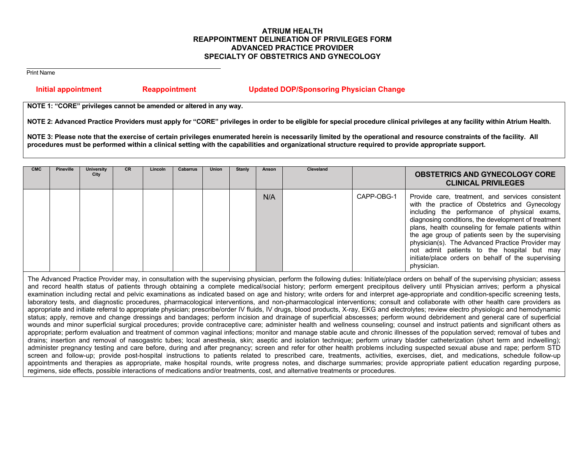# **ATRIUM HEALTH REAPPOINTMENT DELINEATION OF PRIVILEGES FORM ADVANCED PRACTICE PROVIDER SPECIALTY OF OBSTETRICS AND GYNECOLOGY**

Print Name

# **Initial appointment Reappointment Updated DOP/Sponsoring Physician Change**

**NOTE 1: "CORE" privileges cannot be amended or altered in any way.** 

**NOTE 2: Advanced Practice Providers must apply for "CORE" privileges in order to be eligible for special procedure clinical privileges at any facility within Atrium Health.** 

**NOTE 3: Please note that the exercise of certain privileges enumerated herein is necessarily limited by the operational and resource constraints of the facility. All procedures must be performed within a clinical setting with the capabilities and organizational structure required to provide appropriate support.**

| <b>CMC</b> | <b>Pineville</b> | University<br>City | <b>CR</b> | <b>Lincoln</b> | <b>Cabarrus</b> | <b>Union</b> | Stanly | Anson | <b>Cleveland</b> |            | <b>OBSTETRICS AND GYNECOLOGY CORE</b><br><b>CLINICAL PRIVILEGES</b>                                                                                                                                                                                                                                                                                                                                                                                                                         |
|------------|------------------|--------------------|-----------|----------------|-----------------|--------------|--------|-------|------------------|------------|---------------------------------------------------------------------------------------------------------------------------------------------------------------------------------------------------------------------------------------------------------------------------------------------------------------------------------------------------------------------------------------------------------------------------------------------------------------------------------------------|
|            |                  |                    |           |                |                 |              |        | N/A   |                  | CAPP-OBG-1 | Provide care, treatment, and services consistent<br>with the practice of Obstetrics and Gynecology<br>including the performance of physical exams,<br>diagnosing conditions, the development of treatment<br>plans, health counseling for female patients within<br>the age group of patients seen by the supervising<br>physician(s). The Advanced Practice Provider may<br>not admit patients to the hospital but may<br>initiate/place orders on behalf of the supervising<br>physician. |

The Advanced Practice Provider may, in consultation with the supervising physician, perform the following duties: Initiate/place orders on behalf of the supervising physician; assess and record health status of patients through obtaining a complete medical/social history; perform emergent precipitous delivery until Physician arrives; perform a physical examination including rectal and pelvic examinations as indicated based on age and history; write orders for and interpret age-appropriate and condition-specific screening tests, laboratory tests, and diagnostic procedures, pharmacological interventions, and non-pharmacological interventions; consult and collaborate with other health care providers as appropriate and initiate referral to appropriate physician; prescribe/order IV fluids, IV drugs, blood products, X-ray, EKG and electrolytes; review electro physiologic and hemodynamic status; apply, remove and change dressings and bandages; perform incision and drainage of superficial abscesses; perform wound debridement and general care of superficial wounds and minor superficial surgical procedures; provide contraceptive care; administer health and wellness counseling; counsel and instruct patients and significant others as appropriate; perform evaluation and treatment of common vaginal infections; monitor and manage stable acute and chronic illnesses of the population served; removal of tubes and drains; insertion and removal of nasogastric tubes; local anesthesia, skin; aseptic and isolation technique; perform urinary bladder catheterization (short term and indwelling); administer pregnancy testing and care before, during and after pregnancy; screen and refer for other health problems including suspected sexual abuse and rape; perform STD screen and follow-up; provide post-hospital instructions to patients related to prescribed care, treatments, activities, exercises, diet, and medications, schedule follow-up appointments and therapies as appropriate, make hospital rounds, write progress notes, and discharge summaries; provide appropriate patient education regarding purpose, regimens, side effects, possible interactions of medications and/or treatments, cost, and alternative treatments or procedures.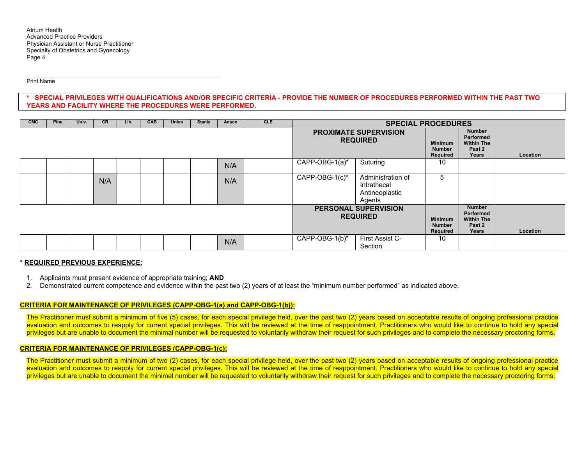Atrium Health Advanced Practice Providers Physician Assistant or Nurse Practitioner Specialty of Obstetrics and Gynecology Page 4

Print Name

**\* SPECIAL PRIVILEGES WITH QUALIFICATIONS AND/OR SPECIFIC CRITERIA - PROVIDE THE NUMBER OF PROCEDURES PERFORMED WITHIN THE PAST TWO YEARS AND FACILITY WHERE THE PROCEDURES WERE PERFORMED.** 

| <b>CMC</b> | Pine. | Univ. | <b>CR</b> | Lin. | <b>CAB</b> | Union | <b>Stanly</b>                                  | Anson                                       | <b>CLE</b>                                                         | <b>SPECIAL PROCEDURES</b> |                                                              |                                             |                                                                    |                 |
|------------|-------|-------|-----------|------|------------|-------|------------------------------------------------|---------------------------------------------|--------------------------------------------------------------------|---------------------------|--------------------------------------------------------------|---------------------------------------------|--------------------------------------------------------------------|-----------------|
|            |       |       |           |      |            |       |                                                |                                             |                                                                    |                           | <b>PROXIMATE SUPERVISION</b><br><b>REQUIRED</b>              | <b>Minimum</b><br><b>Number</b><br>Required | <b>Number</b><br>Performed<br><b>Within The</b><br>Past 2<br>Years | <b>Location</b> |
|            |       |       |           |      |            |       |                                                | N/A                                         |                                                                    | CAPP-OBG-1(a)*            | Suturing                                                     | 10                                          |                                                                    |                 |
|            |       |       | N/A       |      |            |       |                                                | N/A                                         |                                                                    | CAPP-OBG-1(c)*            | Administration of<br>Intrathecal<br>Antineoplastic<br>Agents | 5                                           |                                                                    |                 |
|            |       |       |           |      |            |       | <b>PERSONAL SUPERVISION</b><br><b>REQUIRED</b> | <b>Minimum</b><br><b>Number</b><br>Required | <b>Number</b><br>Performed<br><b>Within The</b><br>Past 2<br>Years | Location                  |                                                              |                                             |                                                                    |                 |
|            |       |       |           |      |            |       |                                                | N/A                                         |                                                                    | CAPP-OBG-1(b)*            | First Assist C-<br>Section                                   | 10                                          |                                                                    |                 |

#### **\* REQUIRED PREVIOUS EXPERIENCE:**

- 1. Applicants must present evidence of appropriate training; **AND**
- 2. Demonstrated current competence and evidence within the past two (2) years of at least the "minimum number performed" as indicated above.

#### **CRITERIA FOR MAINTENANCE OF PRIVILEGES (CAPP-OBG-1(a) and CAPP-OBG-1(b)):**

The Practitioner must submit a minimum of five (5) cases, for each special privilege held, over the past two (2) years based on acceptable results of ongoing professional practice evaluation and outcomes to reapply for current special privileges. This will be reviewed at the time of reappointment. Practitioners who would like to continue to hold any special privileges but are unable to document the minimal number will be requested to voluntarily withdraw their request for such privileges and to complete the necessary proctoring forms.

## **CRITERIA FOR MAINTENANCE OF PRIVILEGES (CAPP-OBG-1(c):**

The Practitioner must submit a minimum of two (2) cases, for each special privilege held, over the past two (2) years based on acceptable results of ongoing professional practice evaluation and outcomes to reapply for current special privileges. This will be reviewed at the time of reappointment. Practitioners who would like to continue to hold any special privileges but are unable to document the minimal number will be requested to voluntarily withdraw their request for such privileges and to complete the necessary proctoring forms.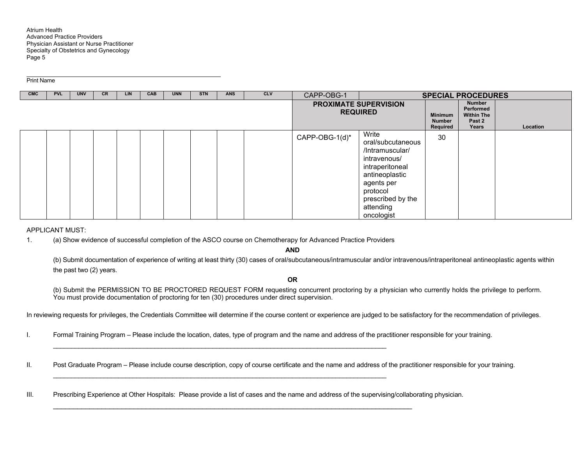#### Print Name

| <b>CMC</b> | <b>PVL</b> | <b>UNV</b> | <b>CR</b> | <b>LIN</b> | CAB | <b>UNN</b> | <b>STN</b> | <b>ANS</b> | <b>CLV</b> | CAPP-OBG-1     |                                                                                                                                                                              |                                             | <b>SPECIAL PROCEDURES</b>                                          |          |
|------------|------------|------------|-----------|------------|-----|------------|------------|------------|------------|----------------|------------------------------------------------------------------------------------------------------------------------------------------------------------------------------|---------------------------------------------|--------------------------------------------------------------------|----------|
|            |            |            |           |            |     |            |            |            |            |                | <b>PROXIMATE SUPERVISION</b><br><b>REQUIRED</b>                                                                                                                              | <b>Minimum</b><br><b>Number</b><br>Required | <b>Number</b><br>Performed<br><b>Within The</b><br>Past 2<br>Years | Location |
|            |            |            |           |            |     |            |            |            |            | CAPP-OBG-1(d)* | Write<br>oral/subcutaneous<br>/Intramuscular/<br>intravenous/<br>intraperitoneal<br>antineoplastic<br>agents per<br>protocol<br>prescribed by the<br>attending<br>oncologist | 30                                          |                                                                    |          |

#### APPLICANT MUST:

1. (a) Show evidence of successful completion of the ASCO course on Chemotherapy for Advanced Practice Providers

\_\_\_\_\_\_\_\_\_\_\_\_\_\_\_\_\_\_\_\_\_\_\_\_\_\_\_\_\_\_\_\_\_\_\_\_\_\_\_\_\_\_\_\_\_\_\_\_\_\_\_\_\_\_\_\_\_\_\_\_\_\_\_\_\_\_\_\_\_\_\_\_\_\_\_\_\_\_\_\_\_\_\_\_\_\_\_\_\_\_\_\_

\_\_\_\_\_\_\_\_\_\_\_\_\_\_\_\_\_\_\_\_\_\_\_\_\_\_\_\_\_\_\_\_\_\_\_\_\_\_\_\_\_\_\_\_\_\_\_\_\_\_\_\_\_\_\_\_\_\_\_\_\_\_\_\_\_\_\_\_\_\_\_\_\_\_\_\_\_\_\_\_\_\_\_\_\_\_\_\_\_

**AND**

(b) Submit documentation of experience of writing at least thirty (30) cases of oral/subcutaneous/intramuscular and/or intravenous/intraperitoneal antineoplastic agents within the past two (2) years.

**OR** 

(b) Submit the PERMISSION TO BE PROCTORED REQUEST FORM requesting concurrent proctoring by a physician who currently holds the privilege to perform. You must provide documentation of proctoring for ten (30) procedures under direct supervision.

In reviewing requests for privileges, the Credentials Committee will determine if the course content or experience are judged to be satisfactory for the recommendation of privileges.

- I. Formal Training Program Please include the location, dates, type of program and the name and address of the practitioner responsible for your training.
- II. Post Graduate Program Please include course description, copy of course certificate and the name and address of the practitioner responsible for your training.
- III. Prescribing Experience at Other Hospitals: Please provide a list of cases and the name and address of the supervising/collaborating physician.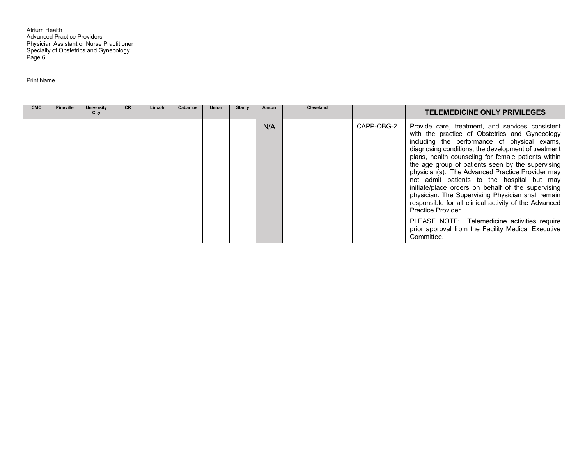Atrium Health Advanced Practice Providers Physician Assistant or Nurse Practitioner Specialty of Obstetrics and Gynecology Page 6

Print Name

| <b>CMC</b> | <b>Pineville</b> | University<br>City | <b>CR</b> | Lincoln | <b>Cabarrus</b> | Union | <b>Stanly</b> | Anson | <b>Cleveland</b> |            | <b>TELEMEDICINE ONLY PRIVILEGES</b>                                                                                                                                                                                                                                                                                                                                                                                                                                                                                                                                                                                                                                                                                                   |
|------------|------------------|--------------------|-----------|---------|-----------------|-------|---------------|-------|------------------|------------|---------------------------------------------------------------------------------------------------------------------------------------------------------------------------------------------------------------------------------------------------------------------------------------------------------------------------------------------------------------------------------------------------------------------------------------------------------------------------------------------------------------------------------------------------------------------------------------------------------------------------------------------------------------------------------------------------------------------------------------|
|            |                  |                    |           |         |                 |       |               | N/A   |                  | CAPP-OBG-2 | Provide care, treatment, and services consistent<br>with the practice of Obstetrics and Gynecology<br>including the performance of physical exams,<br>diagnosing conditions, the development of treatment<br>plans, health counseling for female patients within<br>the age group of patients seen by the supervising<br>physician(s). The Advanced Practice Provider may<br>not admit patients to the hospital but may<br>initiate/place orders on behalf of the supervising<br>physician. The Supervising Physician shall remain<br>responsible for all clinical activity of the Advanced<br>Practice Provider.<br>PLEASE NOTE: Telemedicine activities require<br>prior approval from the Facility Medical Executive<br>Committee. |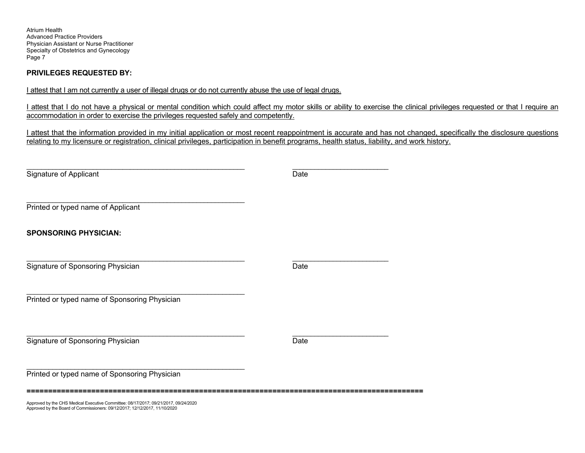Atrium Health Advanced Practice Providers Physician Assistant or Nurse Practitioner Specialty of Obstetrics and Gynecology Page 7

# **PRIVILEGES REQUESTED BY:**

I attest that I am not currently a user of illegal drugs or do not currently abuse the use of legal drugs.

I attest that I do not have a physical or mental condition which could affect my motor skills or ability to exercise the clinical privileges requested or that I require an accommodation in order to exercise the privileges requested safely and competently.

I attest that the information provided in my initial application or most recent reappointment is accurate and has not changed, specifically the disclosure questions relating to my licensure or registration, clinical privileges, participation in benefit programs, health status, liability, and work history.

| Signature of Applicant                                                              | Date |
|-------------------------------------------------------------------------------------|------|
|                                                                                     |      |
| Printed or typed name of Applicant                                                  |      |
| <b>SPONSORING PHYSICIAN:</b>                                                        |      |
|                                                                                     |      |
| Signature of Sponsoring Physician                                                   | Date |
| Printed or typed name of Sponsoring Physician                                       |      |
|                                                                                     |      |
|                                                                                     |      |
| Signature of Sponsoring Physician                                                   | Date |
| Printed or typed name of Sponsoring Physician                                       |      |
| Approved by the CHS Medical Executive Committee: 08/17/2017; 09/21/2017, 09/24/2020 |      |

Approved by the CHS Medical Executive Committee: 08/17/2017; 09/21/2017, 09/24/2020 Approved by the Board of Commissioners: 09/12/2017; 12/12/2017, 11/10/2020